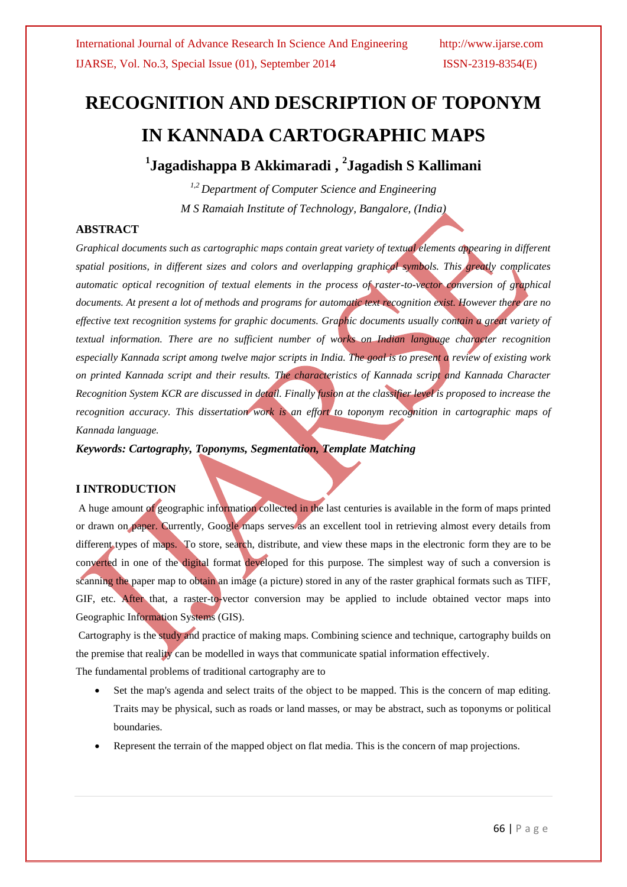# **RECOGNITION AND DESCRIPTION OF TOPONYM IN KANNADA CARTOGRAPHIC MAPS**

**1 Jagadishappa B Akkimaradi , 2 Jagadish S Kallimani**

*1,2 Department of Computer Science and Engineering M S Ramaiah Institute of Technology, Bangalore, (India)*

## **ABSTRACT**

*Graphical documents such as cartographic maps contain great variety of textual elements appearing in different spatial positions, in different sizes and colors and overlapping graphical symbols. This greatly complicates automatic optical recognition of textual elements in the process of raster-to-vector conversion of graphical documents. At present a lot of methods and programs for automatic text recognition exist. However there are no effective text recognition systems for graphic documents. Graphic documents usually contain a great variety of textual information. There are no sufficient number of works on Indian language character recognition especially Kannada script among twelve major scripts in India. The goal is to present a review of existing work on printed Kannada script and their results. The characteristics of Kannada script and Kannada Character Recognition System KCR are discussed in detail. Finally fusion at the classifier level is proposed to increase the recognition accuracy. This dissertation work is an effort to toponym recognition in cartographic maps of Kannada language.*

*Keywords: Cartography, Toponyms, Segmentation, Template Matching*

## **I INTRODUCTION**

A huge amount of geographic information collected in the last centuries is available in the form of maps printed or drawn on paper. Currently, Google maps serves as an excellent tool in retrieving almost every details from different types of maps. To store, search, distribute, and view these maps in the electronic form they are to be converted in one of the digital format developed for this purpose. The simplest way of such a conversion is scanning the paper map to obtain an image (a picture) stored in any of the raster graphical formats such as TIFF, GIF, etc. After that, a raster-to-vector conversion may be applied to include obtained vector maps into Geographic Information Systems (GIS).

Cartography is the study and practice of making [maps.](http://en.wikipedia.org/wiki/Map) Combining science and technique, cartography builds on the premise that reality can be modelled in ways that communicate spatial information effectively.

The fundamental problems of traditional cartography are to

- Set the map's agenda and select traits of the object to be mapped. This is the concern of map editing. Traits may be physical, such as roads or land masses, or may be abstract, such as [toponyms](http://en.wikipedia.org/wiki/Toponomy) or political boundaries.
- Represent the terrain of the mapped object on flat media. This is the concern of [map projections.](http://en.wikipedia.org/wiki/Map_projection)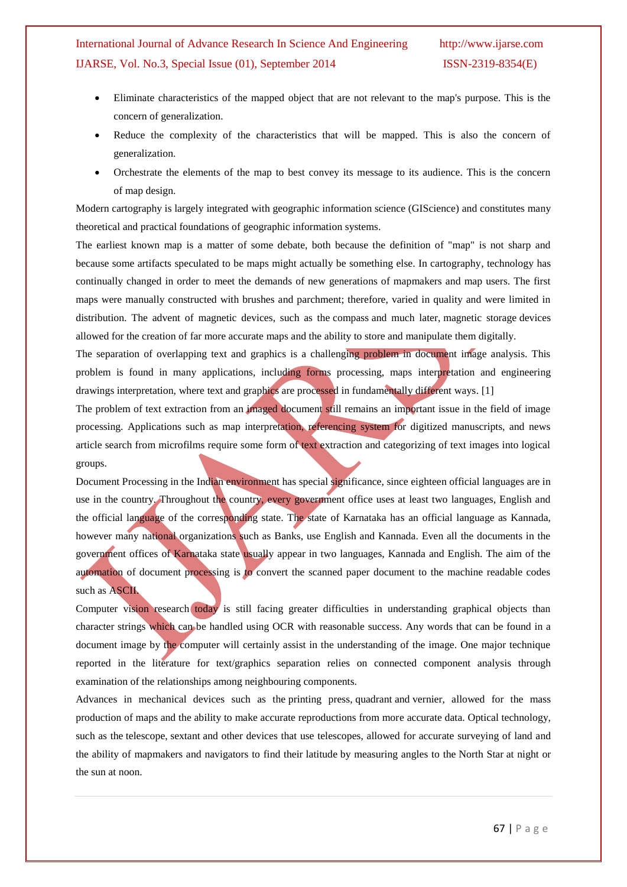- Eliminate characteristics of the mapped object that are not relevant to the map's purpose. This is the concern of [generalization.](http://en.wikipedia.org/wiki/Cartographic_generalization)
- Reduce the complexity of the characteristics that will be mapped. This is also the concern of generalization.
- Orchestrate the elements of the map to best convey its message to its audience. This is the concern of [map design.](http://en.wikipedia.org/wiki/Cartography#Map_design)

Modern cartography is largely integrated with [geographic information science](http://en.wikipedia.org/wiki/Geographic_information_science) (GIScience) and constitutes many theoretical and practical foundations of [geographic information systems.](http://en.wikipedia.org/wiki/Geographic_information_system)

The earliest known map is a matter of some debate, both because the definition of "map" is not sharp and because some artifacts speculated to be maps might actually be something else. In cartography, technology has continually changed in order to meet the demands of new generations of mapmakers and map users. The first maps were manually constructed with brushes and parchment; therefore, varied in quality and were limited in distribution. The advent of magnetic devices, such as the [compass](http://en.wikipedia.org/wiki/Compass) and much later, [magnetic storage](http://en.wikipedia.org/wiki/Magnetic_storage) devices allowed for the creation of far more accurate maps and the ability to store and manipulate them digitally.

The separation of overlapping text and graphics is a challenging problem in document image analysis. This problem is found in many applications, including forms processing, maps interpretation and engineering drawings interpretation, where text and graphics are processed in fundamentally different ways. [1]

The problem of text extraction from an imaged document still remains an important issue in the field of image processing. Applications such as map interpretation, referencing system for digitized manuscripts, and news article search from microfilms require some form of text extraction and categorizing of text images into logical groups.

Document Processing in the Indian environment has special significance, since eighteen official languages are in use in the country. Throughout the country, every government office uses at least two languages, English and the official language of the corresponding state. The state of Karnataka has an official language as Kannada, however many national organizations such as Banks, use English and Kannada. Even all the documents in the government offices of Karnataka state usually appear in two languages, Kannada and English. The aim of the automation of document processing is to convert the scanned paper document to the machine readable codes such as ASCII.

Computer vision research today is still facing greater difficulties in understanding graphical objects than character strings which can be handled using OCR with reasonable success. Any words that can be found in a document image by the computer will certainly assist in the understanding of the image. One major technique reported in the literature for text/graphics separation relies on connected component analysis through examination of the relationships among neighbouring components.

Advances in mechanical devices such as the [printing press,](http://en.wikipedia.org/wiki/Printing_press) [quadrant](http://en.wikipedia.org/wiki/Quadrant_(instrument)) and [vernier,](http://en.wikipedia.org/wiki/Vernier_scale) allowed for the mass production of maps and the ability to make accurate reproductions from more accurate data. Optical technology, such as the [telescope,](http://en.wikipedia.org/wiki/Telescope) [sextant](http://en.wikipedia.org/wiki/Sextant) and other devices that use telescopes, allowed for accurate surveying of land and the ability of mapmakers and navigators to find their [latitude](http://en.wikipedia.org/wiki/Latitude) by measuring angles to the [North](http://en.wikipedia.org/wiki/North_Star) Star at night or the [sun](http://en.wikipedia.org/wiki/Sun) at noon.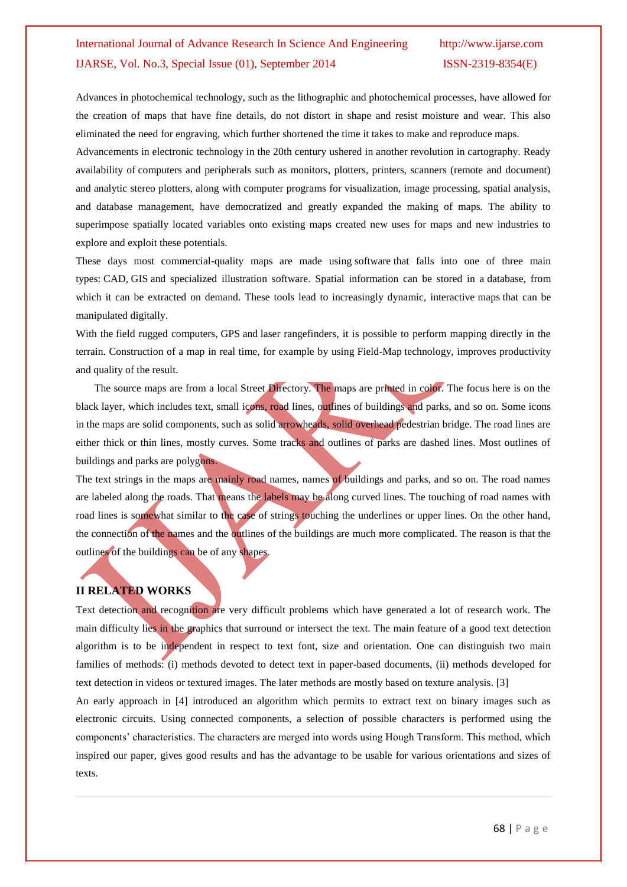Advances in photochemical technology, such as the [lithographic](http://en.wikipedia.org/wiki/Lithography) and [photochemical processes,](http://en.wikipedia.org/wiki/Photography) have allowed for the creation of maps that have fine details, do not distort in shape and resist moisture and wear. This also eliminated the need for engraving, which further shortened the time it takes to make and reproduce maps.

Advancements in electronic technology in the 20th century ushered in another revolution in cartography. Ready availability of [computers and peripherals](http://en.wikipedia.org/wiki/Computer_hardware) such as monitors, plotters, printers, scanners (remote and document) and analytic stereo plotters, along with computer programs for visualization, image processing, spatial analysis, and database management, have democratized and greatly expanded the making of maps. The ability to superimpose spatially located variables onto existing maps created new uses for maps and new industries to explore and exploit these potentials.

These days most commercial-quality maps are made using [software](http://en.wikipedia.org/wiki/Software) that falls into one of three main types: [CAD,](http://en.wikipedia.org/wiki/Computer-aided_design) [GIS](http://en.wikipedia.org/wiki/Geographic_information_system) and specialized illustration [software.](http://en.wikipedia.org/wiki/Software) Spatial information can be stored in a [database,](http://en.wikipedia.org/wiki/Database) from which it can be extracted on demand. These tools lead to increasingly dynamic, interactive [maps](http://en.wikipedia.org/wiki/Map) that can be manipulated digitally.

With the [field rugged computers,](http://en.wikipedia.org/wiki/Rugged_computer) [GPS](http://en.wikipedia.org/wiki/GPS) and [laser rangefinders,](http://en.wikipedia.org/wiki/Laser_rangefinder) it is possible to perform mapping directly in the terrain. Construction of a map in real time, for example by using [Field-Map](http://en.wikipedia.org/w/index.php?title=Field-Map&action=edit&redlink=1) technology, improves productivity and quality of the result.

 The source maps are from a local Street Directory. The maps are printed in color. The focus here is on the black layer, which includes text, small icons, road lines, outlines of buildings and parks, and so on. Some icons in the maps are solid components, such as solid arrowheads, solid overhead pedestrian bridge. The road lines are either thick or thin lines, mostly curves. Some tracks and outlines of parks are dashed lines. Most outlines of buildings and parks are polygons.

The text strings in the maps are mainly road names, names of buildings and parks, and so on. The road names are labeled along the roads. That means the labels may be along curved lines. The touching of road names with road lines is somewhat similar to the case of strings touching the underlines or upper lines. On the other hand, the connection of the names and the outlines of the buildings are much more complicated. The reason is that the outlines of the buildings can be of any shapes.

## **II RELATED WORKS**

Text detection and recognition are very difficult problems which have generated a lot of research work. The main difficulty lies in the graphics that surround or intersect the text. The main feature of a good text detection algorithm is to be independent in respect to text font, size and orientation. One can distinguish two main families of methods: (i) methods devoted to detect text in paper-based documents, (ii) methods developed for text detection in videos or textured images. The later methods are mostly based on texture analysis. [3]

An early approach in [4] introduced an algorithm which permits to extract text on binary images such as electronic circuits. Using connected components, a selection of possible characters is performed using the components" characteristics. The characters are merged into words using Hough Transform. This method, which inspired our paper, gives good results and has the advantage to be usable for various orientations and sizes of texts.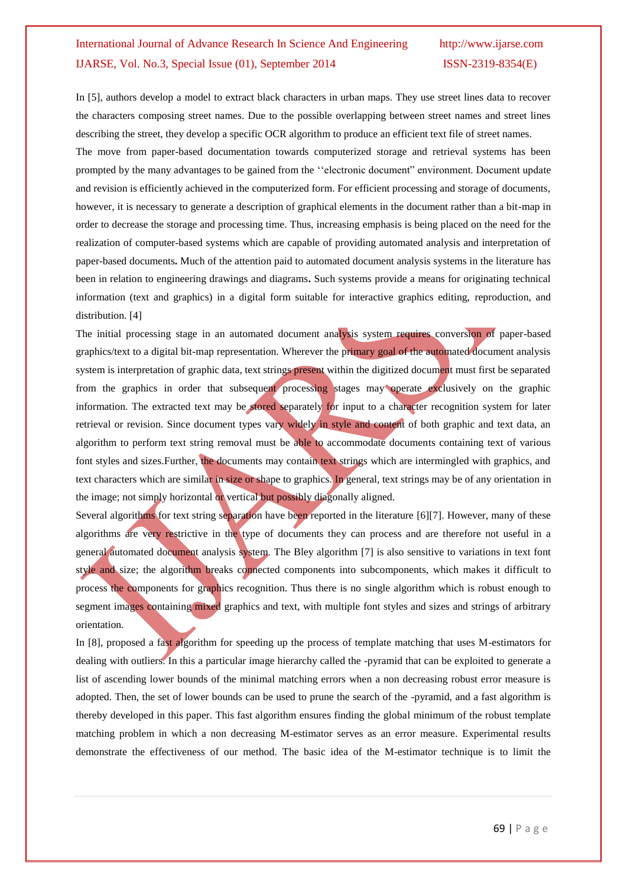In [5], authors develop a model to extract black characters in urban maps. They use street lines data to recover the characters composing street names. Due to the possible overlapping between street names and street lines describing the street, they develop a specific OCR algorithm to produce an efficient text file of street names.

The move from paper-based documentation towards computerized storage and retrieval systems has been prompted by the many advantages to be gained from the ""electronic document" environment. Document update and revision is efficiently achieved in the computerized form. For efficient processing and storage of documents, however, it is necessary to generate a description of graphical elements in the document rather than a bit-map in order to decrease the storage and processing time. Thus, increasing emphasis is being placed on the need for the realization of computer-based systems which are capable of providing automated analysis and interpretation of paper-based documents**.** Much of the attention paid to automated document analysis systems in the literature has been in relation to engineering drawings and diagrams**.** Such systems provide a means for originating technical information (text and graphics) in a digital form suitable for interactive graphics editing, reproduction, and distribution. [4]

The initial processing stage in an automated document analysis system requires conversion of paper-based graphics/text to a digital bit-map representation. Wherever the primary goal of the automated document analysis system is interpretation of graphic data, text strings present within the digitized document must first be separated from the graphics in order that subsequent processing stages may operate exclusively on the graphic information. The extracted text may be stored separately for input to a character recognition system for later retrieval or revision. Since document types vary widely in style and content of both graphic and text data, an algorithm to perform text string removal must be able to accommodate documents containing text of various font styles and sizes. Further, the documents may contain text strings which are intermingled with graphics, and text characters which are similar in size or shape to graphics. In general, text strings may be of any orientation in the image; not simply horizontal or vertical but possibly diagonally aligned.

Several algorithms for text string separation have been reported in the literature [6][7]. However, many of these algorithms are very restrictive in the type of documents they can process and are therefore not useful in a general automated document analysis system. The Bley algorithm [7] is also sensitive to variations in text font style and size; the algorithm breaks connected components into subcomponents, which makes it difficult to process the components for graphics recognition. Thus there is no single algorithm which is robust enough to segment images containing mixed graphics and text, with multiple font styles and sizes and strings of arbitrary orientation.

In [8], proposed a fast algorithm for speeding up the process of template matching that uses M-estimators for dealing with outliers. In this a particular image hierarchy called the -pyramid that can be exploited to generate a list of ascending lower bounds of the minimal matching errors when a non decreasing robust error measure is adopted. Then, the set of lower bounds can be used to prune the search of the -pyramid, and a fast algorithm is thereby developed in this paper. This fast algorithm ensures finding the global minimum of the robust template matching problem in which a non decreasing M-estimator serves as an error measure. Experimental results demonstrate the effectiveness of our method. The basic idea of the M-estimator technique is to limit the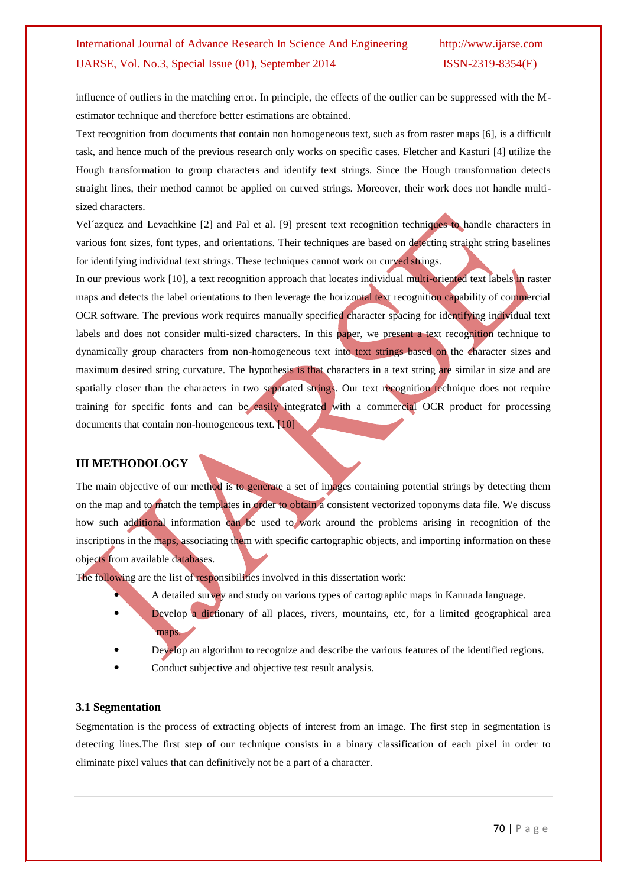influence of outliers in the matching error. In principle, the effects of the outlier can be suppressed with the Mestimator technique and therefore better estimations are obtained.

Text recognition from documents that contain non homogeneous text, such as from raster maps [6], is a difficult task, and hence much of the previous research only works on specific cases. Fletcher and Kasturi [4] utilize the Hough transformation to group characters and identify text strings. Since the Hough transformation detects straight lines, their method cannot be applied on curved strings. Moreover, their work does not handle multisized characters.

Vel´azquez and Levachkine [2] and Pal et al. [9] present text recognition techniques to handle characters in various font sizes, font types, and orientations. Their techniques are based on detecting straight string baselines for identifying individual text strings. These techniques cannot work on curved strings.

In our previous work [10], a text recognition approach that locates individual multi-oriented text labels in raster maps and detects the label orientations to then leverage the horizontal text recognition capability of commercial OCR software. The previous work requires manually specified character spacing for identifying individual text labels and does not consider multi-sized characters. In this paper, we present a text recognition technique to dynamically group characters from non-homogeneous text into text strings based on the character sizes and maximum desired string curvature. The hypothesis is that characters in a text string are similar in size and are spatially closer than the characters in two separated strings. Our text recognition technique does not require training for specific fonts and can be easily integrated with a commercial OCR product for processing documents that contain non-homogeneous text. [10]

#### **III METHODOLOGY**

The main objective of our method is to generate a set of images containing potential strings by detecting them on the map and to match the templates in order to obtain a consistent vectorized toponyms data file. We discuss how such additional information can be used to work around the problems arising in recognition of the inscriptions in the maps, associating them with specific cartographic objects, and importing information on these objects from available databases.

The following are the list of responsibilities involved in this dissertation work:

- A detailed survey and study on various types of cartographic maps in Kannada language.
- Develop a dictionary of all places, rivers, mountains, etc, for a limited geographical area maps.
- Develop an algorithm to recognize and describe the various features of the identified regions.
- Conduct subjective and objective test result analysis.

#### **3.1 Segmentation**

Segmentation is the process of extracting objects of interest from an image. The first step in segmentation is detecting lines.The first step of our technique consists in a binary classification of each pixel in order to eliminate pixel values that can definitively not be a part of a character.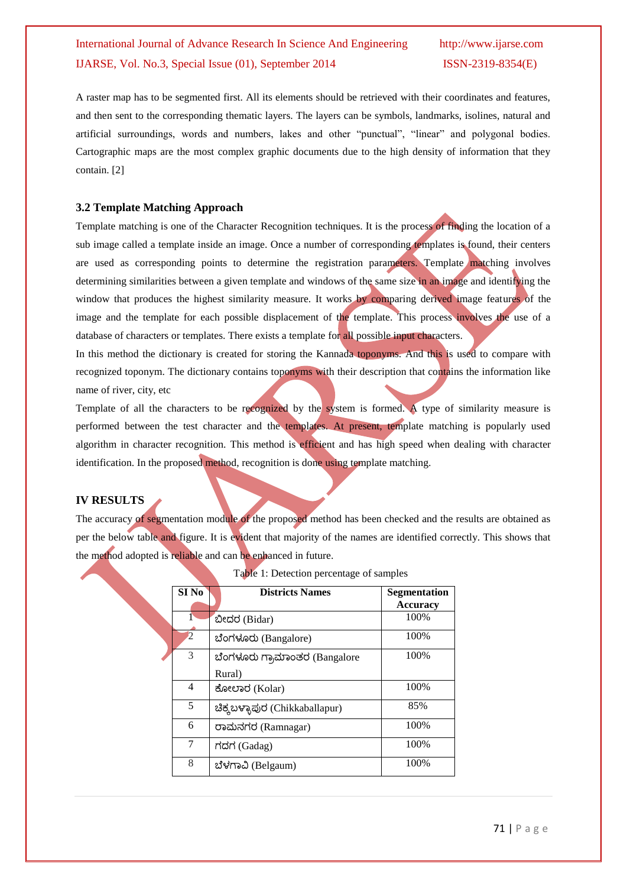A raster map has to be segmented first. All its elements should be retrieved with their coordinates and features, and then sent to the corresponding thematic layers. The layers can be symbols, landmarks, isolines, natural and artificial surroundings, words and numbers, lakes and other "punctual", "linear" and polygonal bodies. Cartographic maps are the most complex graphic documents due to the high density of information that they contain. [2]

#### **3.2 Template Matching Approach**

Template matching is one of the Character Recognition techniques. It is the process of finding the location of a sub image called a template inside an image. Once a number of corresponding templates is found, their centers are used as corresponding points to determine the registration parameters. Template matching involves determining similarities between a given template and windows of the same size in an image and identifying the window that produces the highest similarity measure. It works by comparing derived image features of the image and the template for each possible displacement of the template. This process involves the use of a database of characters or templates. There exists a template for all possible input characters.

In this method the dictionary is created for storing the Kannada toponyms. And this is used to compare with recognized toponym. The dictionary contains toponyms with their description that contains the information like name of river, city, etc

Template of all the characters to be recognized by the system is formed. A type of similarity measure is performed between the test character and the templates. At present, template matching is popularly used algorithm in character recognition. This method is efficient and has high speed when dealing with character identification. In the proposed method, recognition is done using template matching.

#### **IV RESULTS**

The accuracy of segmentation module of the proposed method has been checked and the results are obtained as per the below table and figure. It is evident that majority of the names are identified correctly. This shows that the method adopted is reliable and can be enhanced in future.

|                  | <b>Table 1. Detection percentage of samples</b> |                                        |
|------------------|-------------------------------------------------|----------------------------------------|
| SI <sub>No</sub> | <b>Districts Names</b>                          | <b>Segmentation</b><br><b>Accuracy</b> |
|                  | : ಬೀದರ (Bidar)                                  | 100%                                   |
| $\overline{2}$   | ಬೆಂಗಳೂರು (Bangalore)                            | 100%                                   |
| 3                | ಬೆಂಗಳೂರು ಗ್ರಾಮಾಂತರ (Bangalore                   | 100%                                   |
|                  | Rural)                                          |                                        |
| 4                | ಕೋಲಾರ (Kolar)                                   | 100%                                   |
| 5                | ಚಿಕ್ಕಬಳ್ಳಾಪುರ (Chikkaballapur)                  | 85%                                    |
| 6                | ರಾಮನಗರ (Ramnagar)                               | 100%                                   |
| 7                | ಗದಗ (Gadag)                                     | 100%                                   |
| 8                | ಬೆಳಗಾವಿ (Belgaum)                               | 100%                                   |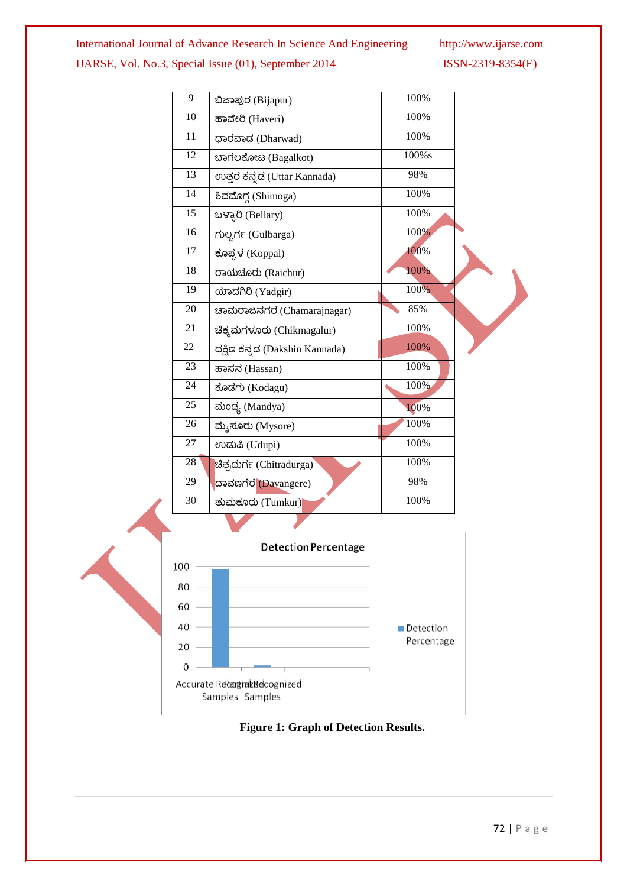| 9  | ಬಿಜಾಪುರ (Bijapur)              | 100%  |  |
|----|--------------------------------|-------|--|
| 10 | ಹಾವೇರಿ (Haveri)                | 100%  |  |
| 11 | ಧಾರವಾದ (Dharwad)               | 100%  |  |
| 12 | ಬಾಗಲಕೋಟ (Bagalkot)             | 100%s |  |
| 13 | ಉತ್ತರ ಕನ್ನಡ (Uttar Kannada)    | 98%   |  |
| 14 | ಶಿವಮೊಗ್ಗ (Shimoga)             | 100%  |  |
| 15 | ಬಳ್ಳಾರಿ (Bellary)              | 100%  |  |
| 16 | ಗುಲ್ಬರ್ಗೆ (Gulbarga)           | 100%  |  |
| 17 | ಕೊಪ್ಪಳ (Koppal)                | 100%  |  |
| 18 | ರಾಯಚೂರು (Raichur)              | 100%  |  |
| 19 | ಯಾದಗಿರಿ (Yadgir)               | 100%  |  |
| 20 | ಚಾಮರಾಜನಗರ (Chamarajnagar)      | 85%   |  |
| 21 | ಚಿಕ್ಕಮಗಳೂರು (Chikmagalur)      | 100%  |  |
| 22 | ದಕ್ಷಿಣ ಕನ್ನಡ (Dakshin Kannada) | 100%  |  |
| 23 | ಹಾಸನ (Hassan)                  | 100%  |  |
| 24 | ಕೊಡಗು (Kodagu)                 | 100%  |  |
| 25 | ಮಂದ್ಯ (Mandya)                 | 100%  |  |
| 26 | ಮೈಸೂರು (Mysore)                | 100%  |  |
| 27 | ಉದುಪಿ (Udupi)                  | 100%  |  |
| 28 | ಚಿತ್ರದುರ್ಗ (Chitradurga)       | 100%  |  |
| 29 | ದಾವಣಗೆರೆ (Davangere)           | 98%   |  |
| 30 | ತುಮಕೂರು (Tumkur)               | 100%  |  |
|    |                                |       |  |